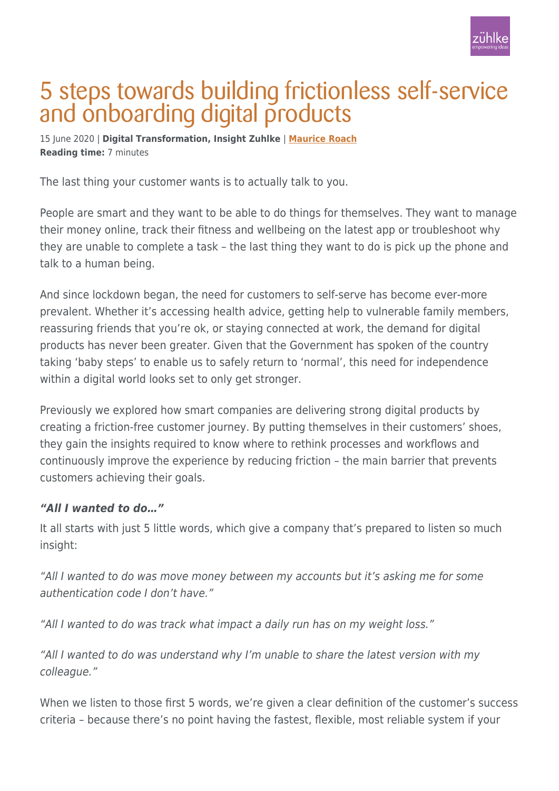

# 5 steps towards building frictionless self-service and onboarding digital products

15 June 2020 | **Digital Transformation, Insight Zuhlke** | **[Maurice Roach](https://www.zuehlke.com/blog/en/author/maurice-roach/) Reading time:** 7 minutes

The last thing your customer wants is to actually talk to you.

People are smart and they want to be able to do things for themselves. They want to manage their money online, track their fitness and wellbeing on the latest app or troubleshoot why they are unable to complete a task – the last thing they want to do is pick up the phone and talk to a human being.

And since lockdown began, the need for customers to self-serve has become ever-more prevalent. Whether it's accessing health advice, getting help to vulnerable family members, reassuring friends that you're ok, or staying connected at work, the demand for digital products has never been greater. Given that the Government has spoken of the country taking 'baby steps' to enable us to safely return to 'normal', this need for independence within a digital world looks set to only get stronger.

Previously we explored how smart companies are delivering strong digital products by creating a friction-free customer journey. By putting themselves in their customers' shoes, they gain the insights required to know where to rethink processes and workflows and continuously improve the experience by reducing friction – the main barrier that prevents customers achieving their goals.

#### *"All I wanted to do…"*

It all starts with just 5 little words, which give a company that's prepared to listen so much insight:

"All I wanted to do was move money between my accounts but it's asking me for some authentication code I don't have."

"All I wanted to do was track what impact a daily run has on my weight loss."

"All I wanted to do was understand why I'm unable to share the latest version with my colleague."

When we listen to those first 5 words, we're given a clear definition of the customer's success criteria – because there's no point having the fastest, flexible, most reliable system if your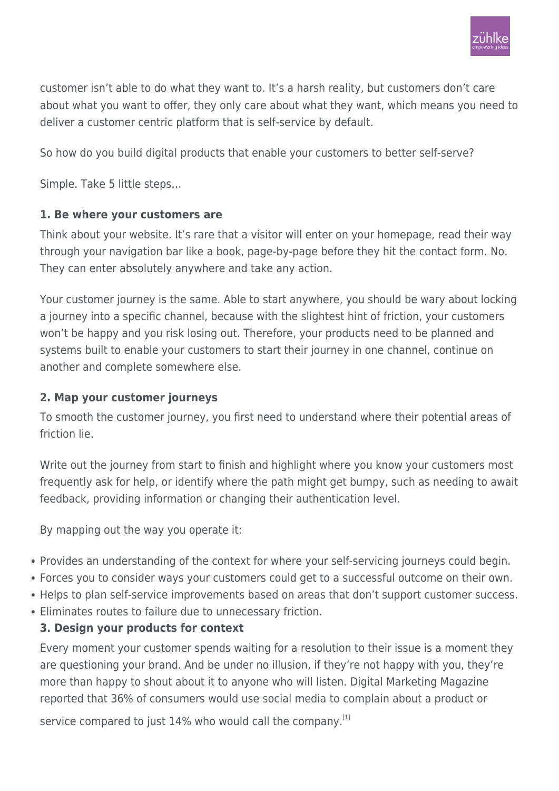

customer isn't able to do what they want to. It's a harsh reality, but customers don't care about what you want to offer, they only care about what they want, which means you need to deliver a customer centric platform that is self-service by default.

So how do you build digital products that enable your customers to better self-serve?

Simple. Take 5 little steps…

## **1. Be where your customers are**

Think about your website. It's rare that a visitor will enter on your homepage, read their way through your navigation bar like a book, page-by-page before they hit the contact form. No. They can enter absolutely anywhere and take any action.

Your customer journey is the same. Able to start anywhere, you should be wary about locking a journey into a specific channel, because with the slightest hint of friction, your customers won't be happy and you risk losing out. Therefore, your products need to be planned and systems built to enable your customers to start their journey in one channel, continue on another and complete somewhere else.

### **2. Map your customer journeys**

To smooth the customer journey, you first need to understand where their potential areas of friction lie.

Write out the journey from start to finish and highlight where you know your customers most frequently ask for help, or identify where the path might get bumpy, such as needing to await feedback, providing information or changing their authentication level.

By mapping out the way you operate it:

- Provides an understanding of the context for where your self-servicing journeys could begin.
- Forces you to consider ways your customers could get to a successful outcome on their own.
- Helps to plan self-service improvements based on areas that don't support customer success.
- Eliminates routes to failure due to unnecessary friction.

# **3. Design your products for context**

Every moment your customer spends waiting for a resolution to their issue is a moment they are questioning your brand. And be under no illusion, if they're not happy with you, they're more than happy to shout about it to anyone who will listen. Digital Marketing Magazine reported that 36% of consumers would use social media to complain about a product or

service compared to just 14% who would call the company.<sup>[1]</sup>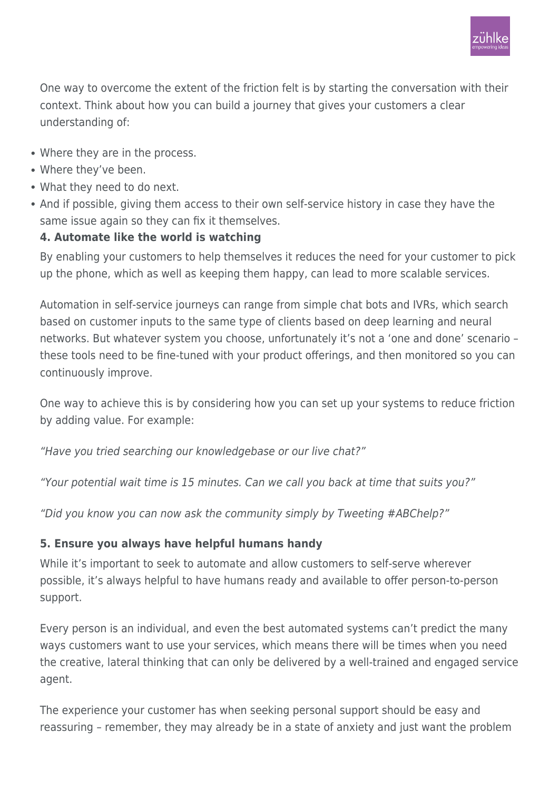One way to overcome the extent of the friction felt is by starting the conversation with their context. Think about how you can build a journey that gives your customers a clear understanding of:

- Where they are in the process.
- Where they've been.
- What they need to do next.
- And if possible, giving them access to their own self-service history in case they have the same issue again so they can fix it themselves.

## **4. Automate like the world is watching**

By enabling your customers to help themselves it reduces the need for your customer to pick up the phone, which as well as keeping them happy, can lead to more scalable services.

Automation in self-service journeys can range from simple chat bots and IVRs, which search based on customer inputs to the same type of clients based on deep learning and neural networks. But whatever system you choose, unfortunately it's not a 'one and done' scenario – these tools need to be fine-tuned with your product offerings, and then monitored so you can continuously improve.

One way to achieve this is by considering how you can set up your systems to reduce friction by adding value. For example:

"Have you tried searching our knowledgebase or our live chat?"

"Your potential wait time is 15 minutes. Can we call you back at time that suits you?"

"Did you know you can now ask the community simply by Tweeting #ABChelp?"

# **5. Ensure you always have helpful humans handy**

While it's important to seek to automate and allow customers to self-serve wherever possible, it's always helpful to have humans ready and available to offer person-to-person support.

Every person is an individual, and even the best automated systems can't predict the many ways customers want to use your services, which means there will be times when you need the creative, lateral thinking that can only be delivered by a well-trained and engaged service agent.

The experience your customer has when seeking personal support should be easy and reassuring – remember, they may already be in a state of anxiety and just want the problem